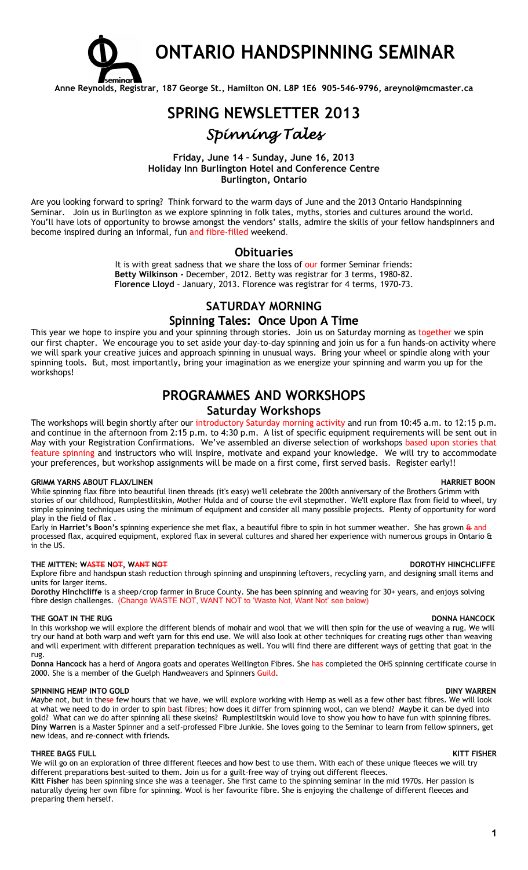

# **ONTARIO HANDSPINNING SEMINAR**

**Anne Reynolds, Registrar, 187 George St., Hamilton ON. L8P 1E6 905-546-9796, areynol@mcmaster.ca**

# **SPRING NEWSLETTER 2013** *Spinning Tales*

## **Friday, June 14 – Sunday, June 16, 2013 Holiday Inn Burlington Hotel and Conference Centre Burlington, Ontario**

Are you looking forward to spring? Think forward to the warm days of June and the 2013 Ontario Handspinning Seminar. Join us in Burlington as we explore spinning in folk tales, myths, stories and cultures around the world. You'll have lots of opportunity to browse amongst the vendors' stalls, admire the skills of your fellow handspinners and become inspired during an informal, fun and fibre-filled weekend.

## **Obituaries**

It is with great sadness that we share the loss of our former Seminar friends: **Betty Wilkinson -** December, 2012. Betty was registrar for 3 terms, 1980-82. **Florence Lloyd** – January, 2013. Florence was registrar for 4 terms, 1970-73.

## **SATURDAY MORNING**

## Spinning Tales: Once Upon A Time

This year we hope to inspire you and your spinning through stories. Join us on Saturday morning as together we spin our first chapter. We encourage you to set aside your day-to-day spinning and join us for a fun hands-on activity where we will spark your creative juices and approach spinning in unusual ways. Bring your wheel or spindle along with your spinning tools. But, most importantly, bring your imagination as we energize your spinning and warm you up for the workshops!

## **PROGRAMMES AND WORKSHOPS Saturday Workshops**

The workshops will begin shortly after our introductory Saturday morning activity and run from 10:45 a.m. to 12:15 p.m. and continue in the afternoon from 2:15 p.m. to 4:30 p.m. A list of specific equipment requirements will be sent out in May with your Registration Confirmations. We've assembled an diverse selection of workshops based upon stories that feature spinning and instructors who will inspire, motivate and expand your knowledge. We will try to accommodate your preferences, but workshop assignments will be made on a first come, first served basis. Register early!!

### **GRIMM YARNS ABOUT FLAX/LINEN HARRIET BOON**

While spinning flax fibre into beautiful linen threads (it's easy) we'll celebrate the 200th anniversary of the Brothers Grimm with stories of our childhood, Rumplestlitskin, Mother Hulda and of course the evil stepmother. We'll explore flax from field to wheel, try simple spinning techniques using the minimum of equipment and consider all many possible projects. Plenty of opportunity for word play in the field of flax .

Early in **Harriet's Boon's** spinning experience she met flax, a beautiful fibre to spin in hot summer weather. She has grown & and processed flax, acquired equipment, explored flax in several cultures and shared her experience with numerous groups in Ontario & in the US.

### **THE MITTEN: WASTE NOT, WANT NOT DOROTHY HINCHCLIFFE**

Explore fibre and handspun stash reduction through spinning and unspinning leftovers, recycling yarn, and designing small items and units for larger items.

**Dorothy Hinchcliffe** is a sheep/crop farmer in Bruce County. She has been spinning and weaving for 30+ years, and enjoys solving fibre design challenges. (Change WASTE NOT, WANT NOT to 'Waste Not, Want Not' see below)

### **THE GOAT IN THE RUG DONNA HANCOCK**

In this workshop we will explore the different blends of mohair and wool that we will then spin for the use of weaving a rug. We will try our hand at both warp and weft yarn for this end use. We will also look at other techniques for creating rugs other than weaving and will experiment with different preparation techniques as well. You will find there are different ways of getting that goat in the rug.

**Donna Hancock** has a herd of Angora goats and operates Wellington Fibres. She has completed the OHS spinning certificate course in 2000. She is a member of the Guelph Handweavers and Spinners Guild.

### **SPINNING HEMP INTO GOLD DINY WARREN**

Maybe not, but in these few hours that we have, we will explore working with Hemp as well as a few other bast fibres. We will look at what we need to do in order to spin bast fibres; how does it differ from spinning wool, can we blend? Maybe it can be dyed into gold? What can we do after spinning all these skeins? Rumplestiltskin would love to show you how to have fun with spinning fibres. **Diny Warren** is a Master Spinner and a self-professed Fibre Junkie. She loves going to the Seminar to learn from fellow spinners, get new ideas, and re-connect with friends**.**

### **THREE BAGS FULL KITT FISHER**

preparing them herself.

We will go on an exploration of three different fleeces and how best to use them. With each of these unique fleeces we will try different preparations best-suited to them. Join us for a guilt-free way of trying out different fleeces. **Kitt Fisher** has been spinning since she was a teenager. She first came to the spinning seminar in the mid 1970s. Her passion is naturally dyeing her own fibre for spinning. Wool is her favourite fibre. She is enjoying the challenge of different fleeces and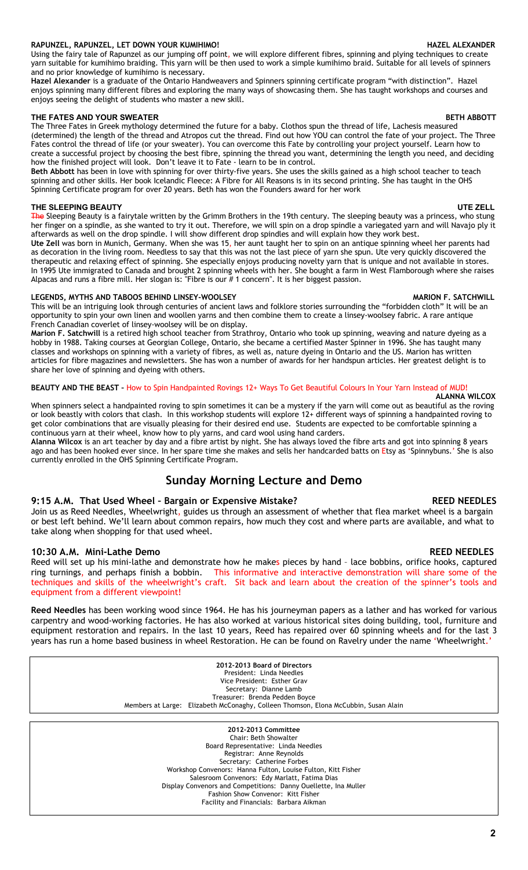## **RAPUNZEL, RAPUNZEL, LET DOWN YOUR KUMIHIMO! HAZEL ALEXANDER**

Using the fairy tale of Rapunzel as our jumping off point, we will explore different fibres, spinning and plying techniques to create yarn suitable for kumihimo braiding. This yarn will be then used to work a simple kumihimo braid. Suitable for all levels of spinners and no prior knowledge of kumihimo is necessary.

**Hazel Alexander** is a graduate of the Ontario Handweavers and Spinners spinning certificate program "with distinction". Hazel enjoys spinning many different fibres and exploring the many ways of showcasing them. She has taught workshops and courses and enjoys seeing the delight of students who master a new skill.

### **THE FATES AND YOUR SWEATER BETH ABBOTT**

The Three Fates in Greek mythology determined the future for a baby. Clothos spun the thread of life, Lachesis measured (determined) the length of the thread and Atropos cut the thread. Find out how YOU can control the fate of your project. The Three Fates control the thread of life (or your sweater). You can overcome this Fate by controlling your project yourself. Learn how to create a successful project by choosing the best fibre, spinning the thread you want, determining the length you need, and deciding how the finished project will look. Don't leave it to Fate - learn to be in control.

Beth Abbott has been in love with spinning for over thirty-five years. She uses the skills gained as a high school teacher to teach spinning and other skills. Her book Icelandic Fleece: A Fibre for All Reasons is in its second printing. She has taught in the OHS Spinning Certificate program for over 20 years. Beth has won the Founders award for her work

## **THE SLEEPING BEAUTY UTE 2018**

<del>The</del> Sleeping Beauty is a fairytale written by the Grimm Brothers in the 19th century. The sleeping beauty was a princess, who stung her finger on a spindle, as she wanted to try it out. Therefore, we will spin on a drop spindle a variegated yarn and will Navajo ply it afterwards as well on the drop spindle. I will show different drop spindles and will explain how they work best.

**Ute Zell** was born in Munich, Germany. When she was 15, her aunt taught her to spin on an antique spinning wheel her parents had as decoration in the living room. Needless to say that this was not the last piece of yarn she spun. Ute very quickly discovered the therapeutic and relaxing effect of spinning. She especially enjoys producing novelty yarn that is unique and not available in stores. In 1995 Ute immigrated to Canada and brought 2 spinning wheels with her. She bought a farm in West Flamborough where she raises Alpacas and runs a fibre mill. Her slogan is: "Fibre is our  $# 1$  concern". It is her biggest passion.

## LEGENDS, MYTHS AND TABOOS BEHIND LINSEY-WOOLSEY **MARION F. SATCHWILL**

This will be an intriguing look through centuries of ancient laws and folklore stories surrounding the "forbidden cloth" It will be an opportunity to spin your own linen and woollen yarns and then combine them to create a linsey-woolsey fabric. A rare antique French Canadian coverlet of linsey-woolsey will be on display.

**Marion F. Satchwill** is a retired high school teacher from Strathroy, Ontario who took up spinning, weaving and nature dyeing as a hobby in 1988. Taking courses at Georgian College, Ontario, she became a certified Master Spinner in 1996. She has taught many classes and workshops on spinning with a variety of fibres, as well as, nature dyeing in Ontario and the US. Marion has written articles for fibre magazines and newsletters. She has won a number of awards for her handspun articles. Her greatest delight is to share her love of spinning and dyeing with others.

## **BEAUTY AND THE BEAST –** How to Spin Handpainted Rovings 12+ Ways To Get Beautiful Colours In Your Yarn Instead of MUD!

 **ALANNA WILCOX** When spinners select a handpainted roving to spin sometimes it can be a mystery if the yarn will come out as beautiful as the roving or look beastly with colors that clash. In this workshop students will explore 12+ different ways of spinning a handpainted roving to get color combinations that are visually pleasing for their desired end use. Students are expected to be comfortable spinning a continuous yarn at their wheel, know how to ply yarns, and card wool using hand carders.

**Alanna Wilcox** is an art teacher by day and a fibre artist by night. She has always loved the fibre arts and got into spinning 8 years ago and has been hooked ever since. In her spare time she makes and sells her handcarded batts on Etsy as 'Spinnybuns.' She is also currently enrolled in the OHS Spinning Certificate Program.

## **Sunday Morning Lecture and Demo**

## **9:15 A.M. That Used Wheel – Bargain or Expensive Mistake? REED NEEDLES**

Join us as Reed Needles, Wheelwright, guides us through an assessment of whether that flea market wheel is a bargain or best left behind. We'll learn about common repairs, how much they cost and where parts are available, and what to take along when shopping for that used wheel.

## **10:30 A.M. Mini-Lathe Demo REED NEEDLES**

Reed will set up his mini-lathe and demonstrate how he makes pieces by hand – lace bobbins, orifice hooks, captured ring turnings, and perhaps finish a bobbin. This informative and interactive demonstration will share some of the techniques and skills of the wheelwright's craft. Sit back and learn about the creation of the spinner's tools and equipment from a different viewpoint!

**Reed Needles** has been working wood since 1964. He has his journeyman papers as a lather and has worked for various carpentry and wood-working factories. He has also worked at various historical sites doing building, tool, furniture and equipment restoration and repairs. In the last 10 years, Reed has repaired over 60 spinning wheels and for the last 3 years has run a home based business in wheel Restoration. He can be found on Ravelry under the name 'Wheelwright.'

> **2012-2013 Board of Directors** President: Linda Needles Vice President: Esther Grav Secretary: Dianne Lamb Treasurer: Brenda Pedden Boyce Members at Large: Elizabeth McConaghy, Colleen Thomson, Elona McCubbin, Susan Alain

> > **2012-2013 Committee** Chair: Beth Showalter Board Representative: Linda Needles Registrar: Anne Reynolds Secretary: Catherine Forbes Workshop Convenors: Hanna Fulton, Louise Fulton, Kitt Fisher Salesroom Convenors: Edy Marlatt, Fatima Dias Display Convenors and Competitions: Danny Ouellette, Ina Muller Fashion Show Convenor: Kitt Fisher Facility and Financials: Barbara Aikman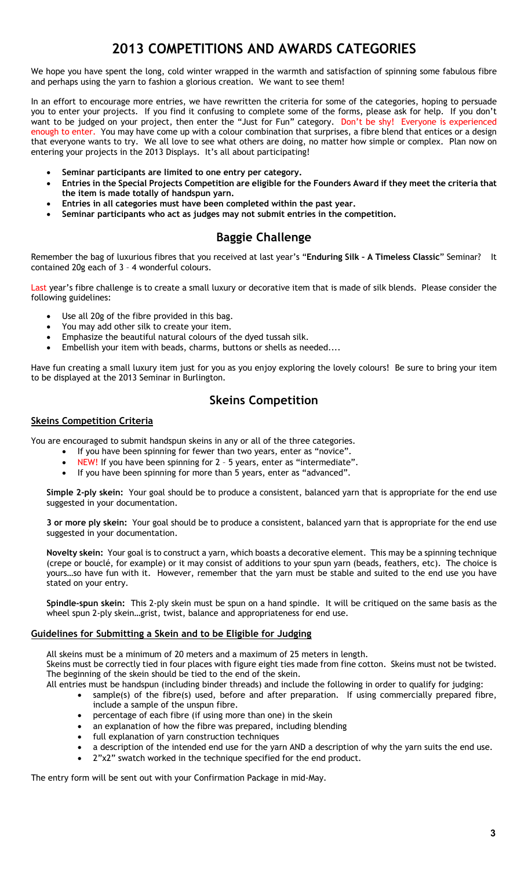# **2013 COMPETITIONS AND AWARDS CATEGORIES**

We hope you have spent the long, cold winter wrapped in the warmth and satisfaction of spinning some fabulous fibre and perhaps using the yarn to fashion a glorious creation. We want to see them!

In an effort to encourage more entries, we have rewritten the criteria for some of the categories, hoping to persuade you to enter your projects. If you find it confusing to complete some of the forms, please ask for help. If you don't want to be judged on your project, then enter the "Just for Fun" category. Don't be shy! Everyone is experienced enough to enter. You may have come up with a colour combination that surprises, a fibre blend that entices or a design that everyone wants to try. We all love to see what others are doing, no matter how simple or complex. Plan now on entering your projects in the 2013 Displays. It's all about participating!

- **Seminar participants are limited to one entry per category.**
- **Entries in the Special Projects Competition are eligible for the Founders Award if they meet the criteria that the item is made totally of handspun yarn.**
- **Entries in all categories must have been completed within the past year.**
- **Seminar participants who act as judges may not submit entries in the competition.**

## **Baggie Challenge**

Remember the bag of luxurious fibres that you received at last year's "**Enduring Silk – A Timeless Classic**" Seminar? It contained 20g each of 3 – 4 wonderful colours.

Last year's fibre challenge is to create a small luxury or decorative item that is made of silk blends. Please consider the following guidelines:

- Use all 20g of the fibre provided in this bag.
- You may add other silk to create your item.
- Emphasize the beautiful natural colours of the dyed tussah silk.
- Embellish your item with beads, charms, buttons or shells as needed....

Have fun creating a small luxury item just for you as you enjoy exploring the lovely colours! Be sure to bring your item to be displayed at the 2013 Seminar in Burlington.

## **Skeins Competition**

## **Skeins Competition Criteria**

You are encouraged to submit handspun skeins in any or all of the three categories.

- If you have been spinning for fewer than two years, enter as "novice".
- NEW! If you have been spinning for 2 5 years, enter as "intermediate".
- If you have been spinning for more than 5 years, enter as "advanced".

**Simple 2-ply skein:** Your goal should be to produce a consistent, balanced yarn that is appropriate for the end use suggested in your documentation.

**3 or more ply skein:** Your goal should be to produce a consistent, balanced yarn that is appropriate for the end use suggested in your documentation.

**Novelty skein:** Your goal is to construct a yarn, which boasts a decorative element. This may be a spinning technique (crepe or bouclé, for example) or it may consist of additions to your spun yarn (beads, feathers, etc). The choice is yours…so have fun with it. However, remember that the yarn must be stable and suited to the end use you have stated on your entry.

**Spindle-spun skein:** This 2-ply skein must be spun on a hand spindle. It will be critiqued on the same basis as the wheel spun 2-ply skein…grist, twist, balance and appropriateness for end use.

## **Guidelines for Submitting a Skein and to be Eligible for Judging**

All skeins must be a minimum of 20 meters and a maximum of 25 meters in length.

Skeins must be correctly tied in four places with figure eight ties made from fine cotton. Skeins must not be twisted. The beginning of the skein should be tied to the end of the skein.

- All entries must be handspun (including binder threads) and include the following in order to qualify for judging:
	- sample(s) of the fibre(s) used, before and after preparation. If using commercially prepared fibre, include a sample of the unspun fibre.
	- percentage of each fibre (if using more than one) in the skein
	- an explanation of how the fibre was prepared, including blending
	- full explanation of yarn construction techniques
	- a description of the intended end use for the yarn AND a description of why the yarn suits the end use.
	- 2"x2" swatch worked in the technique specified for the end product.

The entry form will be sent out with your Confirmation Package in mid-May.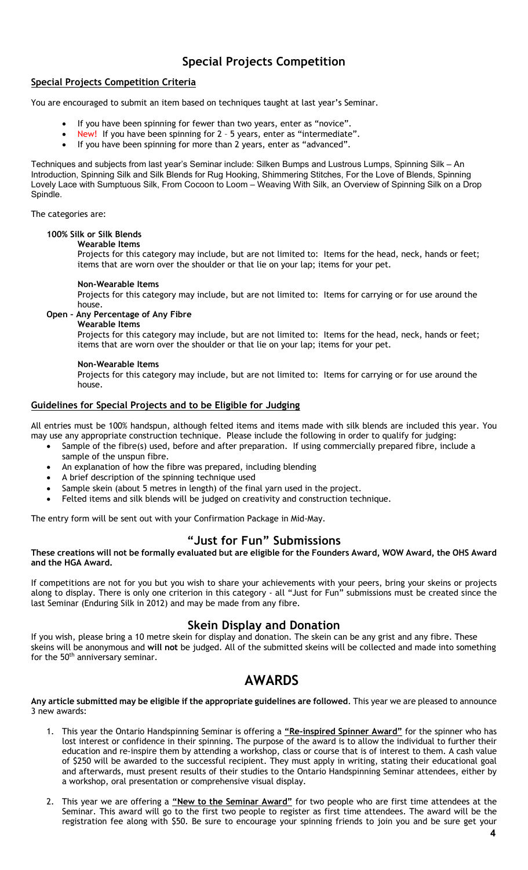## **Special Projects Competition**

## **Special Projects Competition Criteria**

You are encouraged to submit an item based on techniques taught at last year's Seminar.

- If you have been spinning for fewer than two years, enter as "novice".
- New! If you have been spinning for 2 5 years, enter as "intermediate".
- If you have been spinning for more than 2 years, enter as "advanced".

Techniques and subjects from last year's Seminar include: Silken Bumps and Lustrous Lumps, Spinning Silk – An Introduction, Spinning Silk and Silk Blends for Rug Hooking, Shimmering Stitches, For the Love of Blends, Spinning Lovely Lace with Sumptuous Silk, From Cocoon to Loom – Weaving With Silk, an Overview of Spinning Silk on a Drop Spindle.

The categories are:

## **100% Silk or Silk Blends**

**Wearable Items** 

Projects for this category may include, but are not limited to: Items for the head, neck, hands or feet; items that are worn over the shoulder or that lie on your lap; items for your pet.

## **Non-Wearable Items**

Projects for this category may include, but are not limited to: Items for carrying or for use around the house.

## **Open – Any Percentage of Any Fibre**

**Wearable Items** 

Projects for this category may include, but are not limited to: Items for the head, neck, hands or feet; items that are worn over the shoulder or that lie on your lap; items for your pet.

## **Non-Wearable Items**

Projects for this category may include, but are not limited to: Items for carrying or for use around the house.

## **Guidelines for Special Projects and to be Eligible for Judging**

All entries must be 100% handspun, although felted items and items made with silk blends are included this year. You may use any appropriate construction technique. Please include the following in order to qualify for judging:

- Sample of the fibre(s) used, before and after preparation. If using commercially prepared fibre, include a sample of the unspun fibre.
	- An explanation of how the fibre was prepared, including blending
- A brief description of the spinning technique used
- Sample skein (about 5 metres in length) of the final yarn used in the project.
- Felted items and silk blends will be judged on creativity and construction technique.

The entry form will be sent out with your Confirmation Package in Mid-May.

## **"Just for Fun" Submissions**

## **These creations will not be formally evaluated but are eligible for the Founders Award, WOW Award, the OHS Award and the HGA Award.**

If competitions are not for you but you wish to share your achievements with your peers, bring your skeins or projects along to display. There is only one criterion in this category - all "Just for Fun" submissions must be created since the last Seminar (Enduring Silk in 2012) and may be made from any fibre.

## **Skein Display and Donation**

If you wish, please bring a 10 metre skein for display and donation. The skein can be any grist and any fibre. These skeins will be anonymous and **will not** be judged. All of the submitted skeins will be collected and made into something for the 50<sup>th</sup> anniversary seminar.

## **AWARDS**

**Any article submitted may be eligible if the appropriate guidelines are followed**. This year we are pleased to announce 3 new awards:

- 1. This year the Ontario Handspinning Seminar is offering a **"Re-inspired Spinner Award"** for the spinner who has lost interest or confidence in their spinning. The purpose of the award is to allow the individual to further their education and re-inspire them by attending a workshop, class or course that is of interest to them. A cash value of \$250 will be awarded to the successful recipient. They must apply in writing, stating their educational goal and afterwards, must present results of their studies to the Ontario Handspinning Seminar attendees, either by a workshop, oral presentation or comprehensive visual display.
- 2. This year we are offering a **"New to the Seminar Award"** for two people who are first time attendees at the Seminar. This award will go to the first two people to register as first time attendees. The award will be the registration fee along with \$50. Be sure to encourage your spinning friends to join you and be sure get your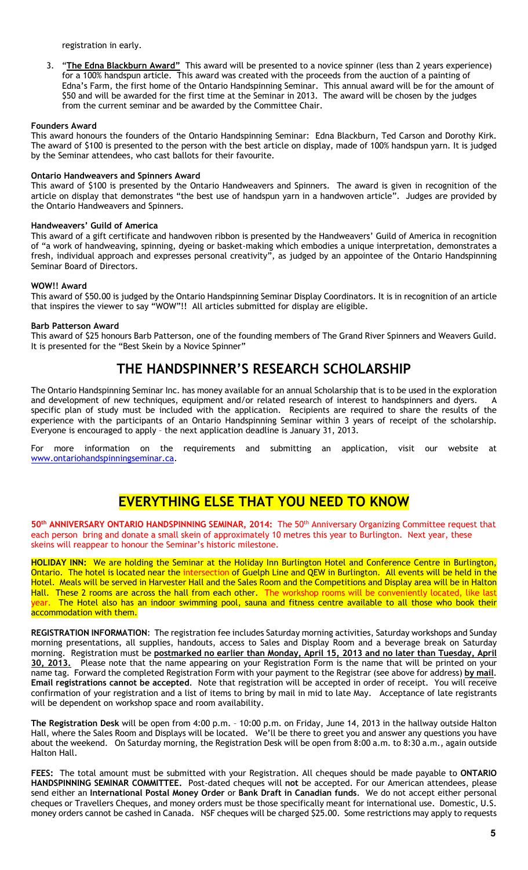registration in early.

3. "**The Edna Blackburn Award"** This award will be presented to a novice spinner (less than 2 years experience) for a 100% handspun article. This award was created with the proceeds from the auction of a painting of Edna's Farm, the first home of the Ontario Handspinning Seminar. This annual award will be for the amount of \$50 and will be awarded for the first time at the Seminar in 2013. The award will be chosen by the judges from the current seminar and be awarded by the Committee Chair.

## **Founders Award**

This award honours the founders of the Ontario Handspinning Seminar: Edna Blackburn, Ted Carson and Dorothy Kirk. The award of \$100 is presented to the person with the best article on display, made of 100% handspun yarn. It is judged by the Seminar attendees, who cast ballots for their favourite.

### **Ontario Handweavers and Spinners Award**

This award of \$100 is presented by the Ontario Handweavers and Spinners. The award is given in recognition of the article on display that demonstrates "the best use of handspun yarn in a handwoven article". Judges are provided by the Ontario Handweavers and Spinners.

## **Handweavers' Guild of America**

This award of a gift certificate and handwoven ribbon is presented by the Handweavers' Guild of America in recognition of "a work of handweaving, spinning, dyeing or basket-making which embodies a unique interpretation, demonstrates a fresh, individual approach and expresses personal creativity", as judged by an appointee of the Ontario Handspinning Seminar Board of Directors.

## **WOW!! Award**

This award of \$50.00 is judged by the Ontario Handspinning Seminar Display Coordinators. It is in recognition of an article that inspires the viewer to say "WOW"!! All articles submitted for display are eligible.

## **Barb Patterson Award**

This award of \$25 honours Barb Patterson, one of the founding members of The Grand River Spinners and Weavers Guild. It is presented for the "Best Skein by a Novice Spinner"

## **THE HANDSPINNER'S RESEARCH SCHOLARSHIP**

The Ontario Handspinning Seminar Inc. has money available for an annual Scholarship that is to be used in the exploration and development of new techniques, equipment and/or related research of interest to handspinners and dyers. specific plan of study must be included with the application. Recipients are required to share the results of the experience with the participants of an Ontario Handspinning Seminar within 3 years of receipt of the scholarship. Everyone is encouraged to apply – the next application deadline is January 31, 2013.

For more information on the requirements and submitting an application, visit our website at www.ontariohandspinningseminar.ca.

## **EVERYTHING ELSE THAT YOU NEED TO KNOW**

**50th ANNIVERSARY ONTARIO HANDSPINNING SEMINAR, 2014:** The 50th Anniversary Organizing Committee request that each person bring and donate a small skein of approximately 10 metres this year to Burlington. Next year, these skeins will reappear to honour the Seminar's historic milestone.

**HOLIDAY INN:** We are holding the Seminar at the Holiday Inn Burlington Hotel and Conference Centre in Burlington, Ontario. The hotel is located near the intersection of Guelph Line and QEW in Burlington. All events will be held in the Hotel. Meals will be served in Harvester Hall and the Sales Room and the Competitions and Display area will be in Halton Hall. These 2 rooms are across the hall from each other. The workshop rooms will be conveniently located, like last year. The Hotel also has an indoor swimming pool, sauna and fitness centre available to all those who book their accommodation with them.

**REGISTRATION INFORMATION**: The registration fee includes Saturday morning activities, Saturday workshops and Sunday morning presentations, all supplies, handouts, access to Sales and Display Room and a beverage break on Saturday morning. Registration must be **postmarked no earlier than Monday, April 15, 2013 and no later than Tuesday, April 30, 2013.** Please note that the name appearing on your Registration Form is the name that will be printed on your name tag. Forward the completed Registration Form with your payment to the Registrar (see above for address) **by mail**. **Email registrations cannot be accepted**. Note that registration will be accepted in order of receipt. You will receive confirmation of your registration and a list of items to bring by mail in mid to late May. Acceptance of late registrants will be dependent on workshop space and room availability.

**The Registration Desk** will be open from 4:00 p.m. – 10:00 p.m. on Friday, June 14, 2013 in the hallway outside Halton Hall, where the Sales Room and Displays will be located. We'll be there to greet you and answer any questions you have about the weekend. On Saturday morning, the Registration Desk will be open from 8:00 a.m. to 8:30 a.m., again outside Halton Hall.

**FEES:** The total amount must be submitted with your Registration. All cheques should be made payable to **ONTARIO HANDSPINNING SEMINAR COMMITTEE.** Post-dated cheques will **not** be accepted. For our American attendees, please send either an **International Postal Money Order** or **Bank Draft in Canadian funds**. We do not accept either personal cheques or Travellers Cheques, and money orders must be those specifically meant for international use. Domestic, U.S. money orders cannot be cashed in Canada. NSF cheques will be charged \$25.00. Some restrictions may apply to requests